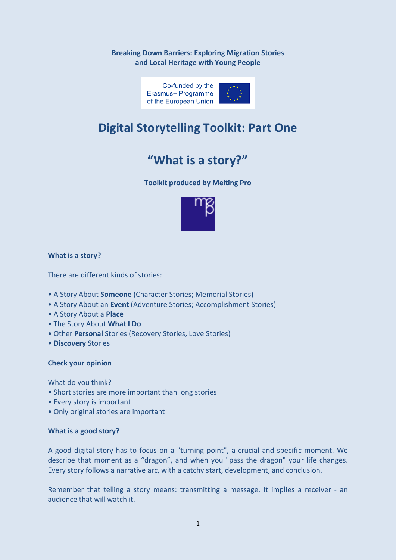**Breaking Down Barriers: Exploring Migration Stories and Local Heritage with Young People**



# **Digital Storytelling Toolkit: Part One**



**Toolkit produced by Melting Pro**



## **What is a story?**

There are different kinds of stories:

- A Story About **Someone** (Character Stories; Memorial Stories)
- A Story About an **Event** (Adventure Stories; Accomplishment Stories)
- A Story About a **Place**
- The Story About **What I Do**
- Other **Personal** Stories (Recovery Stories, Love Stories)
- **Discovery** Stories

#### **Check your opinion**

What do you think?

- Short stories are more important than long stories
- Every story is important
- Only original stories are important

#### **What is a good story?**

A good digital story has to focus on a "turning point", a crucial and specific moment. We describe that moment as a "dragon", and when you "pass the dragon" your life changes. Every story follows a narrative arc, with a catchy start, development, and conclusion.

Remember that telling a story means: transmitting a message. It implies a receiver - an audience that will watch it.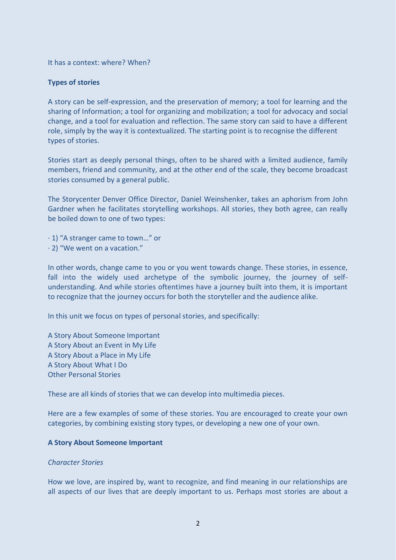It has a context: where? When?

## **Types of stories**

A story can be self-expression, and the preservation of memory; a tool for learning and the sharing of Information; a tool for organizing and mobilization; a tool for advocacy and social change, and a tool for evaluation and reflection. The same story can said to have a different role, simply by the way it is contextualized. The starting point is to recognise the different types of stories.

Stories start as deeply personal things, often to be shared with a limited audience, family members, friend and community, and at the other end of the scale, they become broadcast stories consumed by a general public.

The Storycenter Denver Office Director, Daniel Weinshenker, takes an aphorism from John Gardner when he facilitates storytelling workshops. All stories, they both agree, can really be boiled down to one of two types:

· 1) "A stranger came to town…" or

· 2) "We went on a vacation."

In other words, change came to you or you went towards change. These stories, in essence, fall into the widely used archetype of the symbolic journey, the journey of selfunderstanding. And while stories oftentimes have a journey built into them, it is important to recognize that the journey occurs for both the storyteller and the audience alike.

In this unit we focus on types of personal stories, and specifically:

A Story About Someone Important A Story About an Event in My Life A Story About a Place in My Life A Story About What I Do Other Personal Stories

These are all kinds of stories that we can develop into multimedia pieces.

Here are a few examples of some of these stories. You are encouraged to create your own categories, by combining existing story types, or developing a new one of your own.

## **A Story About Someone Important**

## *Character Stories*

How we love, are inspired by, want to recognize, and find meaning in our relationships are all aspects of our lives that are deeply important to us. Perhaps most stories are about a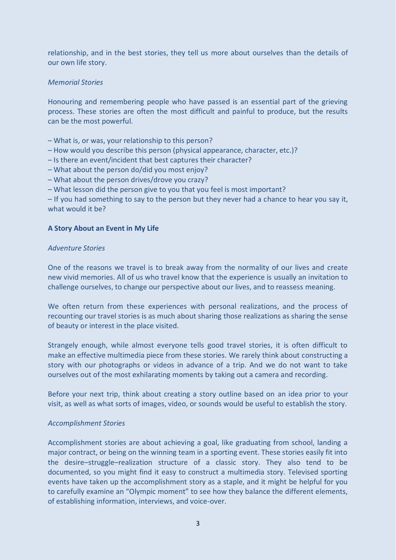relationship, and in the best stories, they tell us more about ourselves than the details of our own life story.

### *Memorial Stories*

Honouring and remembering people who have passed is an essential part of the grieving process. These stories are often the most difficult and painful to produce, but the results can be the most powerful.

- What is, or was, your relationship to this person?
- How would you describe this person (physical appearance, character, etc.)?
- Is there an event/incident that best captures their character?
- What about the person do/did you most enjoy?
- What about the person drives/drove you crazy?
- What lesson did the person give to you that you feel is most important?

– If you had something to say to the person but they never had a chance to hear you say it, what would it be?

#### **A Story About an Event in My Life**

#### *Adventure Stories*

One of the reasons we travel is to break away from the normality of our lives and create new vivid memories. All of us who travel know that the experience is usually an invitation to challenge ourselves, to change our perspective about our lives, and to reassess meaning.

We often return from these experiences with personal realizations, and the process of recounting our travel stories is as much about sharing those realizations as sharing the sense of beauty or interest in the place visited.

Strangely enough, while almost everyone tells good travel stories, it is often difficult to make an effective multimedia piece from these stories. We rarely think about constructing a story with our photographs or videos in advance of a trip. And we do not want to take ourselves out of the most exhilarating moments by taking out a camera and recording.

Before your next trip, think about creating a story outline based on an idea prior to your visit, as well as what sorts of images, video, or sounds would be useful to establish the story.

#### *Accomplishment Stories*

Accomplishment stories are about achieving a goal, like graduating from school, landing a major contract, or being on the winning team in a sporting event. These stories easily fit into the desire–struggle–realization structure of a classic story. They also tend to be documented, so you might find it easy to construct a multimedia story. Televised sporting events have taken up the accomplishment story as a staple, and it might be helpful for you to carefully examine an "Olympic moment" to see how they balance the different elements, of establishing information, interviews, and voice-over.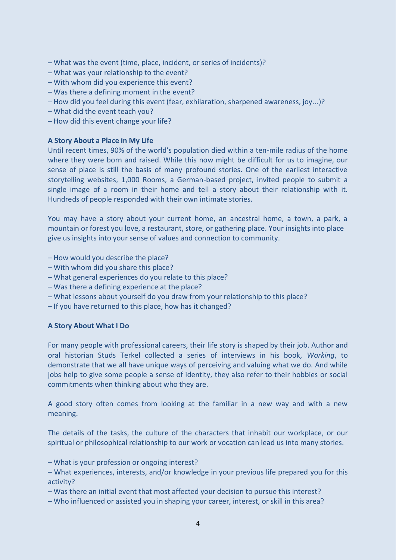- What was the event (time, place, incident, or series of incidents)?
- What was your relationship to the event?
- With whom did you experience this event?
- Was there a defining moment in the event?
- How did you feel during this event (fear, exhilaration, sharpened awareness, joy...)?
- What did the event teach you?
- How did this event change your life?

## **A Story About a Place in My Life**

Until recent times, 90% of the world's population died within a ten-mile radius of the home where they were born and raised. While this now might be difficult for us to imagine, our sense of place is still the basis of many profound stories. One of the earliest interactive storytelling websites, 1,000 Rooms, a German-based project, invited people to submit a single image of a room in their home and tell a story about their relationship with it. Hundreds of people responded with their own intimate stories.

You may have a story about your current home, an ancestral home, a town, a park, a mountain or forest you love, a restaurant, store, or gathering place. Your insights into place give us insights into your sense of values and connection to community.

- How would you describe the place?
- With whom did you share this place?
- What general experiences do you relate to this place?
- Was there a defining experience at the place?
- What lessons about yourself do you draw from your relationship to this place?
- If you have returned to this place, how has it changed?

# **A Story About What I Do**

For many people with professional careers, their life story is shaped by their job. Author and oral historian Studs Terkel collected a series of interviews in his book, *Working*, to demonstrate that we all have unique ways of perceiving and valuing what we do. And while jobs help to give some people a sense of identity, they also refer to their hobbies or social commitments when thinking about who they are.

A good story often comes from looking at the familiar in a new way and with a new meaning.

The details of the tasks, the culture of the characters that inhabit our workplace, or our spiritual or philosophical relationship to our work or vocation can lead us into many stories.

- What is your profession or ongoing interest?
- What experiences, interests, and/or knowledge in your previous life prepared you for this activity?
- Was there an initial event that most affected your decision to pursue this interest?
- Who influenced or assisted you in shaping your career, interest, or skill in this area?